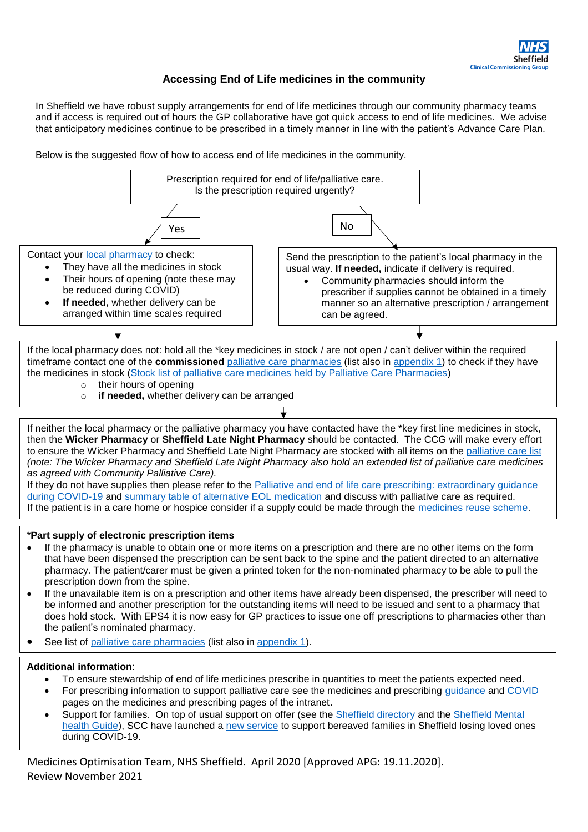## **Accessing End of Life medicines in the community**

In Sheffield we have robust supply arrangements for end of life medicines through our community pharmacy teams and if access is required out of hours the GP collaborative have got quick access to end of life medicines. We advise that anticipatory medicines continue to be prescribed in a timely manner in line with the patient's Advance Care Plan.

Below is the suggested flow of how to access end of life medicines in the community.



Medicines Optimisation Team, NHS Sheffield. April 2020 [Approved APG: 19.11.2020]. Review November 2021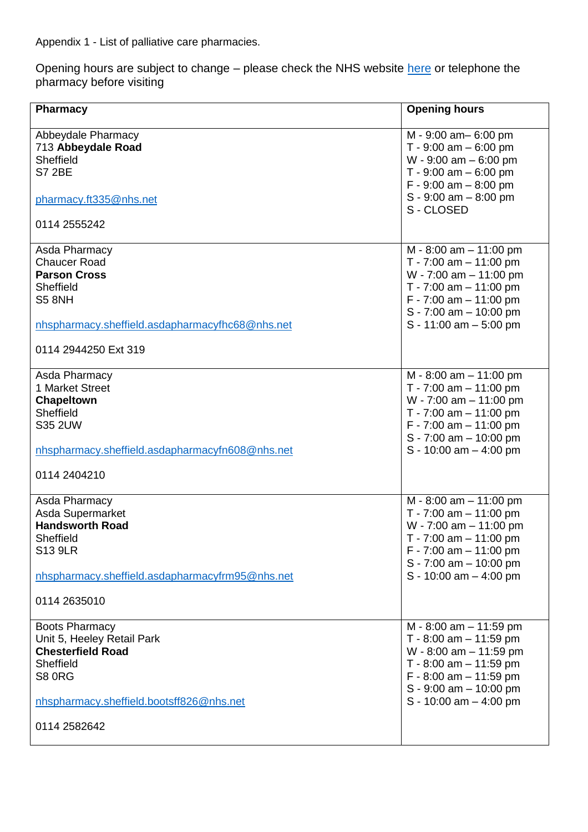<span id="page-1-0"></span>Appendix 1 - List of palliative care pharmacies.

Opening hours are subject to change – please check the NHS website <u>here</u> or telephone the pharmacy before visiting

| <b>Pharmacy</b>                                                                                                                                                           | <b>Opening hours</b>                                                                                                                                                                                       |
|---------------------------------------------------------------------------------------------------------------------------------------------------------------------------|------------------------------------------------------------------------------------------------------------------------------------------------------------------------------------------------------------|
|                                                                                                                                                                           |                                                                                                                                                                                                            |
| Abbeydale Pharmacy<br>713 Abbeydale Road<br>Sheffield<br><b>S7 2BE</b>                                                                                                    | M - 9:00 am - 6:00 pm<br>T - $9:00$ am $-6:00$ pm<br>W - $9:00$ am $-6:00$ pm<br>T - $9:00$ am $-6:00$ pm                                                                                                  |
| pharmacy.ft335@nhs.net                                                                                                                                                    | $F - 9:00$ am $- 8:00$ pm<br>$S - 9:00$ am $- 8:00$ pm<br>S-CLOSED                                                                                                                                         |
| 0114 2555242                                                                                                                                                              |                                                                                                                                                                                                            |
| Asda Pharmacy<br><b>Chaucer Road</b><br><b>Parson Cross</b><br>Sheffield<br><b>S5 8NH</b>                                                                                 | M - 8:00 am - 11:00 pm<br>T - 7:00 am $-$ 11:00 pm<br>$W - 7:00$ am $- 11:00$ pm<br>$T - 7:00$ am $- 11:00$ pm<br>$F - 7:00$ am $- 11:00$ pm                                                               |
| nhspharmacy.sheffield.asdapharmacyfhc68@nhs.net                                                                                                                           | S - 7:00 am - 10:00 pm<br>$S - 11:00$ am $- 5:00$ pm                                                                                                                                                       |
| 0114 2944250 Ext 319                                                                                                                                                      |                                                                                                                                                                                                            |
| Asda Pharmacy<br>1 Market Street<br>Chapeltown<br>Sheffield<br><b>S35 2UW</b><br>nhspharmacy.sheffield.asdapharmacyfn608@nhs.net<br>0114 2404210                          | $M - 8:00$ am $- 11:00$ pm<br>T - 7:00 am $-$ 11:00 pm<br>$W - 7:00$ am $- 11:00$ pm<br>T - 7:00 am $-$ 11:00 pm<br>$F - 7:00$ am $- 11:00$ pm<br>$S - 7:00$ am $- 10:00$ pm<br>$S - 10:00$ am $- 4:00$ pm |
| Asda Pharmacy<br>Asda Supermarket<br><b>Handsworth Road</b><br>Sheffield<br><b>S13 9LR</b><br>nhspharmacy.sheffield.asdapharmacyfrm95@nhs.net<br>0114 2635010             | $M - 8:00$ am $- 11:00$ pm<br>T - 7:00 am $-$ 11:00 pm<br>$W - 7:00$ am $- 11:00$ pm<br>$T - 7:00$ am $- 11:00$ pm<br>$F - 7:00$ am $- 11:00$ pm<br>$S - 7:00$ am $- 10:00$ pm<br>S - 10:00 am $-$ 4:00 pm |
| <b>Boots Pharmacy</b><br>Unit 5, Heeley Retail Park<br><b>Chesterfield Road</b><br>Sheffield<br><b>S8 ORG</b><br>nhspharmacy.sheffield.bootsff826@nhs.net<br>0114 2582642 | $M - 8:00$ am $- 11:59$ pm<br>T - 8:00 am $-$ 11:59 pm<br>$W - 8:00$ am $- 11:59$ pm<br>T - 8:00 am $-$ 11:59 pm<br>$F - 8:00$ am $- 11:59$ pm<br>$S - 9:00$ am $- 10:00$ pm<br>S - 10:00 am - 4:00 pm     |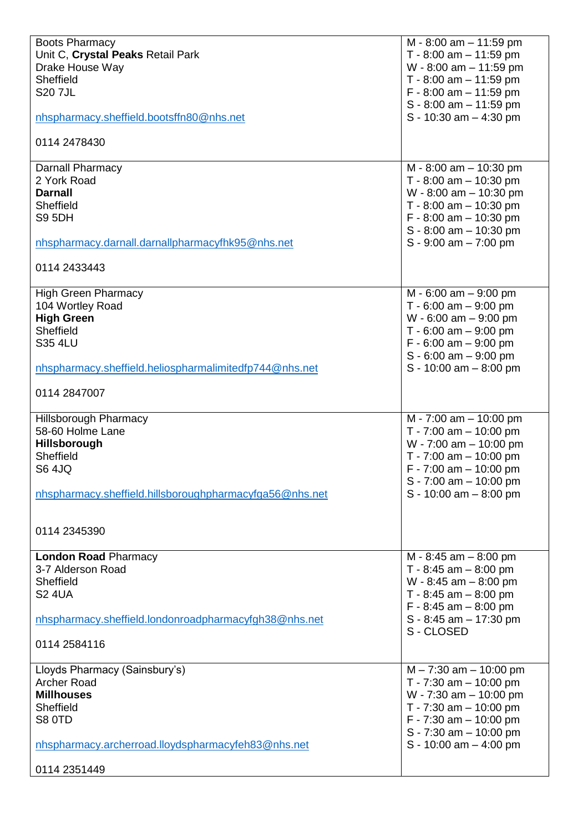| <b>Boots Pharmacy</b>                                   | $M - 8:00$ am $- 11:59$ pm |
|---------------------------------------------------------|----------------------------|
| Unit C, Crystal Peaks Retail Park                       | T - 8:00 am $-$ 11:59 pm   |
| Drake House Way                                         | $W - 8:00$ am $- 11:59$ pm |
| Sheffield                                               | T - 8:00 am $-$ 11:59 pm   |
| <b>S20 7JL</b>                                          | $F - 8:00$ am $- 11:59$ pm |
|                                                         | $S - 8:00$ am $- 11:59$ pm |
|                                                         |                            |
| nhspharmacy.sheffield.bootsffn80@nhs.net                | S - 10:30 am $-$ 4:30 pm   |
| 0114 2478430                                            |                            |
|                                                         |                            |
| Darnall Pharmacy                                        | $M - 8:00$ am $- 10:30$ pm |
| 2 York Road                                             | T - 8:00 am $-$ 10:30 pm   |
|                                                         |                            |
| <b>Darnall</b>                                          | $W - 8:00$ am $- 10:30$ pm |
| Sheffield                                               | T - 8:00 am $-$ 10:30 pm   |
| <b>S9 5DH</b>                                           | $F - 8:00$ am $- 10:30$ pm |
|                                                         | $S - 8:00$ am $- 10:30$ pm |
| nhspharmacy.darnall.darnallpharmacyfhk95@nhs.net        | $S - 9:00$ am $- 7:00$ pm  |
|                                                         |                            |
| 0114 2433443                                            |                            |
|                                                         |                            |
| <b>High Green Pharmacy</b>                              | $M - 6:00$ am $- 9:00$ pm  |
| 104 Wortley Road                                        | T - 6:00 am $-$ 9:00 pm    |
| <b>High Green</b>                                       | $W - 6:00$ am $- 9:00$ pm  |
|                                                         |                            |
| Sheffield                                               | T - $6:00$ am $-9:00$ pm   |
| <b>S35 4LU</b>                                          | $F - 6:00$ am $- 9:00$ pm  |
|                                                         | $S - 6:00$ am $- 9:00$ pm  |
| nhspharmacy.sheffield.heliospharmalimitedfp744@nhs.net  | $S - 10:00$ am $- 8:00$ pm |
|                                                         |                            |
| 0114 2847007                                            |                            |
|                                                         |                            |
|                                                         |                            |
|                                                         |                            |
| <b>Hillsborough Pharmacy</b>                            | $M - 7:00$ am $- 10:00$ pm |
| 58-60 Holme Lane                                        | $T - 7:00$ am $- 10:00$ pm |
| <b>Hillsborough</b>                                     | W - 7:00 am - 10:00 pm     |
| Sheffield                                               | T - 7:00 am $-$ 10:00 pm   |
| <b>S6 4JQ</b>                                           | $F - 7:00$ am $- 10:00$ pm |
|                                                         | $S - 7:00$ am $- 10:00$ pm |
| nhspharmacy.sheffield.hillsboroughpharmacyfga56@nhs.net | $S - 10:00$ am $- 8:00$ pm |
|                                                         |                            |
|                                                         |                            |
| 0114 2345390                                            |                            |
|                                                         |                            |
| <b>London Road Pharmacy</b>                             | M - 8:45 am - 8:00 pm      |
| 3-7 Alderson Road                                       | T - 8:45 am $-$ 8:00 pm    |
| Sheffield                                               |                            |
|                                                         | W - 8:45 am $-$ 8:00 pm    |
| <b>S2 4UA</b>                                           | $T - 8:45$ am $- 8:00$ pm  |
|                                                         | $F - 8:45$ am $- 8:00$ pm  |
| nhspharmacy.sheffield.londonroadpharmacyfgh38@nhs.net   | $S - 8:45$ am $- 17:30$ pm |
|                                                         | S-CLOSED                   |
| 0114 2584116                                            |                            |
|                                                         |                            |
| Lloyds Pharmacy (Sainsbury's)                           | $M - 7:30$ am $- 10:00$ pm |
| <b>Archer Road</b>                                      | T - $7:30$ am $-10:00$ pm  |
| <b>Millhouses</b>                                       | $W - 7:30$ am $- 10:00$ pm |
| Sheffield                                               | T - $7:30$ am $- 10:00$ pm |
| S8 0TD                                                  | $F - 7:30$ am $- 10:00$ pm |
|                                                         | $S - 7:30$ am $- 10:00$ pm |
| nhspharmacy.archerroad.lloydspharmacyfeh83@nhs.net      | S - 10:00 am $-$ 4:00 pm   |
| 0114 2351449                                            |                            |